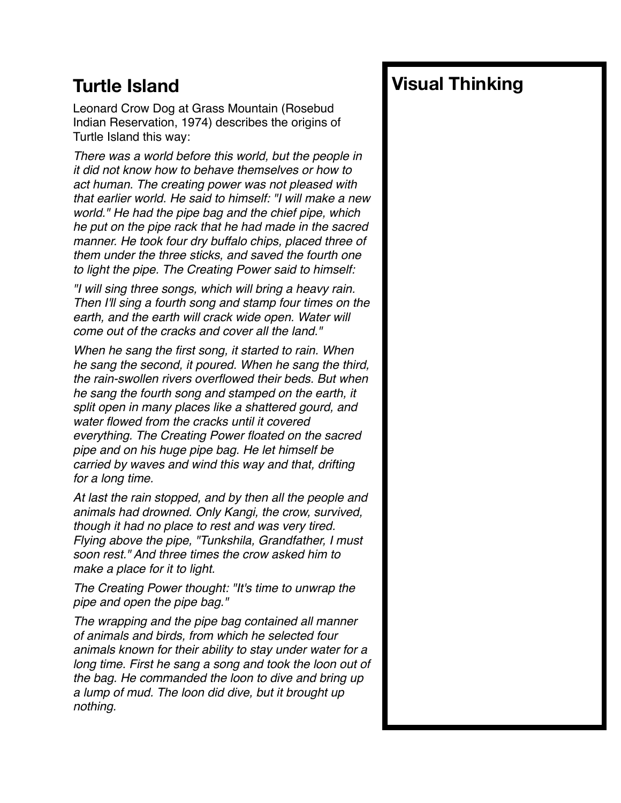## **Turtle Island**

Leonard Crow Dog at Grass Mountain (Rosebud Indian Reservation, 1974) describes the origins of Turtle Island this way:

*There was a world before this world, but the people in it did not know how to behave themselves or how to act human. The creating power was not pleased with that earlier world. He said to himself: "I will make a new world." He had the pipe bag and the chief pipe, which he put on the pipe rack that he had made in the sacred manner. He took four dry buffalo chips, placed three of them under the three sticks, and saved the fourth one to light the pipe. The Creating Power said to himself:*

*"I will sing three songs, which will bring a heavy rain. Then I'll sing a fourth song and stamp four times on the earth, and the earth will crack wide open. Water will come out of the cracks and cover all the land."*

*When he sang the first song, it started to rain. When he sang the second, it poured. When he sang the third, the rain-swollen rivers overflowed their beds. But when he sang the fourth song and stamped on the earth, it split open in many places like a shattered gourd, and water flowed from the cracks until it covered everything. The Creating Power floated on the sacred pipe and on his huge pipe bag. He let himself be carried by waves and wind this way and that, drifting for a long time.*

*At last the rain stopped, and by then all the people and animals had drowned. Only Kangi, the crow, survived, though it had no place to rest and was very tired. Flying above the pipe, "Tunkshila, Grandfather, I must soon rest." And three times the crow asked him to make a place for it to light.*

*The Creating Power thought: "It's time to unwrap the pipe and open the pipe bag."*

*The wrapping and the pipe bag contained all manner of animals and birds, from which he selected four animals known for their ability to stay under water for a long time. First he sang a song and took the loon out of the bag. He commanded the loon to dive and bring up a lump of mud. The loon did dive, but it brought up nothing.*

## **Visual Thinking**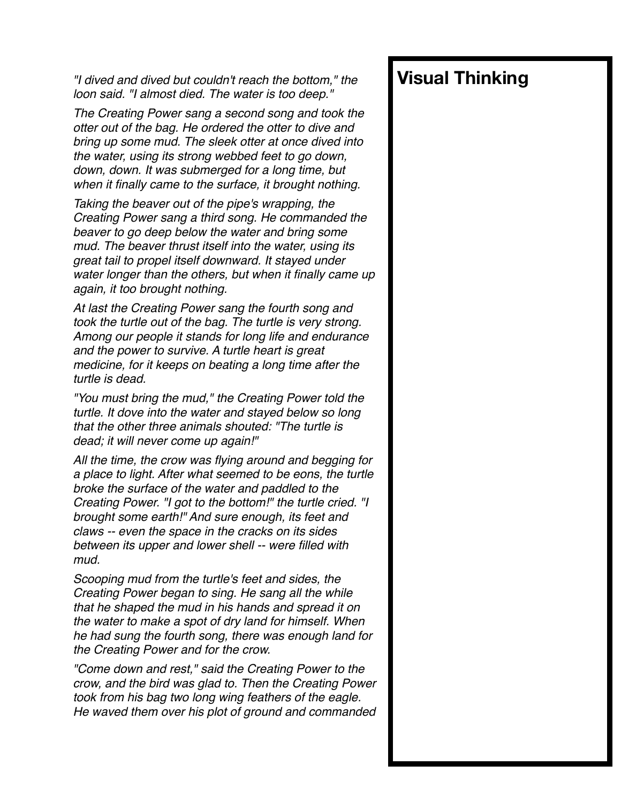*"I dived and dived but couldn't reach the bottom," the loon said. "I almost died. The water is too deep."*

*The Creating Power sang a second song and took the otter out of the bag. He ordered the otter to dive and bring up some mud. The sleek otter at once dived into the water, using its strong webbed feet to go down, down, down. It was submerged for a long time, but when it finally came to the surface, it brought nothing.*

*Taking the beaver out of the pipe's wrapping, the Creating Power sang a third song. He commanded the beaver to go deep below the water and bring some mud. The beaver thrust itself into the water, using its great tail to propel itself downward. It stayed under water longer than the others, but when it finally came up again, it too brought nothing.*

*At last the Creating Power sang the fourth song and took the turtle out of the bag. The turtle is very strong. Among our people it stands for long life and endurance and the power to survive. A turtle heart is great medicine, for it keeps on beating a long time after the turtle is dead.*

*"You must bring the mud," the Creating Power told the turtle. It dove into the water and stayed below so long that the other three animals shouted: "The turtle is dead; it will never come up again!"*

*All the time, the crow was flying around and begging for a place to light. After what seemed to be eons, the turtle broke the surface of the water and paddled to the Creating Power. "I got to the bottom!" the turtle cried. "I brought some earth!" And sure enough, its feet and claws -- even the space in the cracks on its sides between its upper and lower shell -- were filled with mud.*

*Scooping mud from the turtle's feet and sides, the Creating Power began to sing. He sang all the while that he shaped the mud in his hands and spread it on the water to make a spot of dry land for himself. When he had sung the fourth song, there was enough land for the Creating Power and for the crow.*

*"Come down and rest," said the Creating Power to the crow, and the bird was glad to. Then the Creating Power took from his bag two long wing feathers of the eagle. He waved them over his plot of ground and commanded* 

## **Visual Thinking**